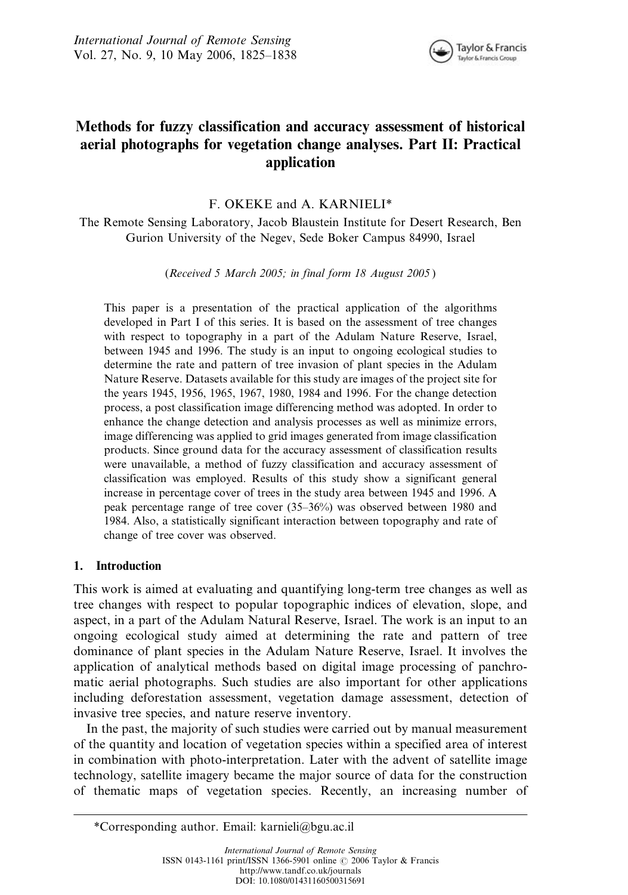

# Methods for fuzzy classification and accuracy assessment of historical aerial photographs for vegetation change analyses. Part II: Practical application

# F. OKEKE and A. KARNIELI\*

The Remote Sensing Laboratory, Jacob Blaustein Institute for Desert Research, Ben Gurion University of the Negev, Sede Boker Campus 84990, Israel

(Received 5 March 2005; in final form 18 August 2005 )

This paper is a presentation of the practical application of the algorithms developed in Part I of this series. It is based on the assessment of tree changes with respect to topography in a part of the Adulam Nature Reserve, Israel, between 1945 and 1996. The study is an input to ongoing ecological studies to determine the rate and pattern of tree invasion of plant species in the Adulam Nature Reserve. Datasets available for this study are images of the project site for the years 1945, 1956, 1965, 1967, 1980, 1984 and 1996. For the change detection process, a post classification image differencing method was adopted. In order to enhance the change detection and analysis processes as well as minimize errors, image differencing was applied to grid images generated from image classification products. Since ground data for the accuracy assessment of classification results were unavailable, a method of fuzzy classification and accuracy assessment of classification was employed. Results of this study show a significant general increase in percentage cover of trees in the study area between 1945 and 1996. A peak percentage range of tree cover (35–36%) was observed between 1980 and 1984. Also, a statistically significant interaction between topography and rate of change of tree cover was observed.

## 1. Introduction

This work is aimed at evaluating and quantifying long-term tree changes as well as tree changes with respect to popular topographic indices of elevation, slope, and aspect, in a part of the Adulam Natural Reserve, Israel. The work is an input to an ongoing ecological study aimed at determining the rate and pattern of tree dominance of plant species in the Adulam Nature Reserve, Israel. It involves the application of analytical methods based on digital image processing of panchromatic aerial photographs. Such studies are also important for other applications including deforestation assessment, vegetation damage assessment, detection of invasive tree species, and nature reserve inventory.

In the past, the majority of such studies were carried out by manual measurement of the quantity and location of vegetation species within a specified area of interest in combination with photo-interpretation. Later with the advent of satellite image technology, satellite imagery became the major source of data for the construction of thematic maps of vegetation species. Recently, an increasing number of

<sup>\*</sup>Corresponding author. Email: karnieli@bgu.ac.il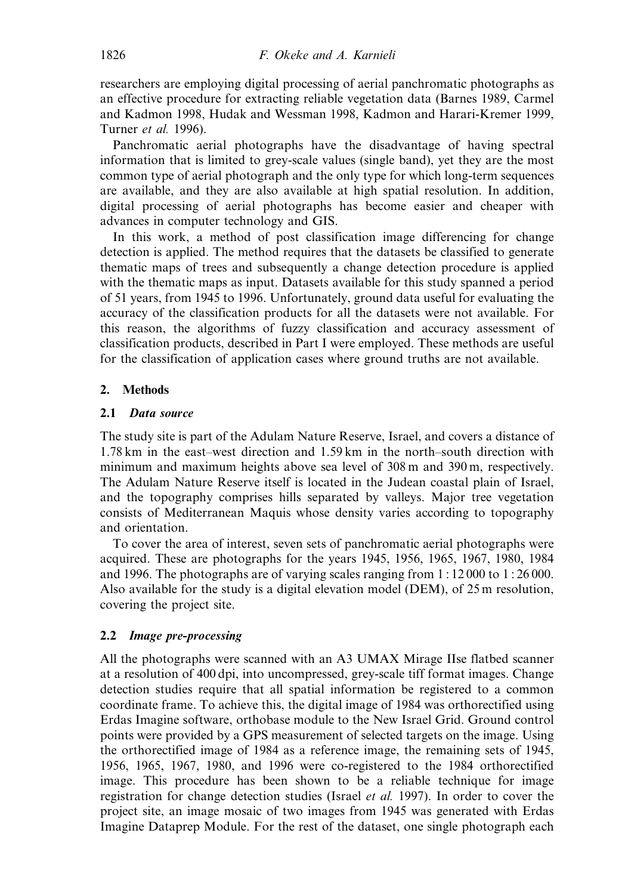researchers are employing digital processing of aerial panchromatic photographs as an effective procedure for extracting reliable vegetation data (Barnes 1989, Carmel and Kadmon 1998, Hudak and Wessman 1998, Kadmon and Harari-Kremer 1999, Turner et al. 1996).

Panchromatic aerial photographs have the disadvantage of having spectral information that is limited to grey-scale values (single band), yet they are the most common type of aerial photograph and the only type for which long-term sequences are available, and they are also available at high spatial resolution. In addition, digital processing of aerial photographs has become easier and cheaper with advances in computer technology and GIS.

In this work, a method of post classification image differencing for change detection is applied. The method requires that the datasets be classified to generate thematic maps of trees and subsequently a change detection procedure is applied with the thematic maps as input. Datasets available for this study spanned a period of 51 years, from 1945 to 1996. Unfortunately, ground data useful for evaluating the accuracy of the classification products for all the datasets were not available. For this reason, the algorithms of fuzzy classification and accuracy assessment of classification products, described in Part I were employed. These methods are useful for the classification of application cases where ground truths are not available.

## 2. Methods

#### 2.1 Data source

The study site is part of the Adulam Nature Reserve, Israel, and covers a distance of 1.78 km in the east–west direction and 1.59 km in the north–south direction with minimum and maximum heights above sea level of 308 m and 390 m, respectively. The Adulam Nature Reserve itself is located in the Judean coastal plain of Israel, and the topography comprises hills separated by valleys. Major tree vegetation consists of Mediterranean Maquis whose density varies according to topography and orientation.

To cover the area of interest, seven sets of panchromatic aerial photographs were acquired. These are photographs for the years 1945, 1956, 1965, 1967, 1980, 1984 and 1996. The photographs are of varying scales ranging from 1 : 12 000 to 1 : 26 000. Also available for the study is a digital elevation model (DEM), of 25 m resolution, covering the project site.

#### 2.2 Image pre-processing

All the photographs were scanned with an A3 UMAX Mirage IIse flatbed scanner at a resolution of 400 dpi, into uncompressed, grey-scale tiff format images. Change detection studies require that all spatial information be registered to a common coordinate frame. To achieve this, the digital image of 1984 was orthorectified using Erdas Imagine software, orthobase module to the New Israel Grid. Ground control points were provided by a GPS measurement of selected targets on the image. Using the orthorectified image of 1984 as a reference image, the remaining sets of 1945, 1956, 1965, 1967, 1980, and 1996 were co-registered to the 1984 orthorectified image. This procedure has been shown to be a reliable technique for image registration for change detection studies (Israel *et al.* 1997). In order to cover the project site, an image mosaic of two images from 1945 was generated with Erdas Imagine Dataprep Module. For the rest of the dataset, one single photograph each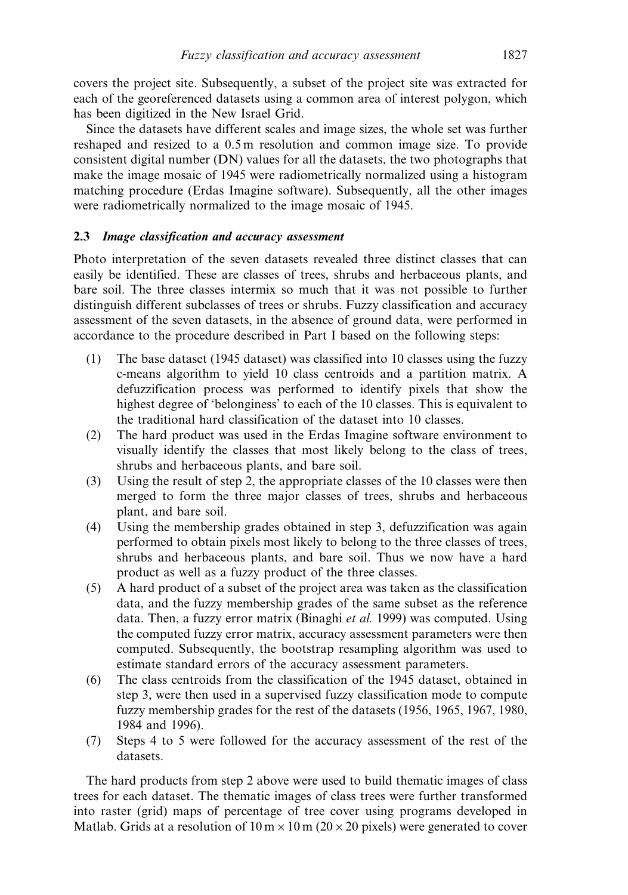covers the project site. Subsequently, a subset of the project site was extracted for each of the georeferenced datasets using a common area of interest polygon, which has been digitized in the New Israel Grid.

Since the datasets have different scales and image sizes, the whole set was further reshaped and resized to a 0.5 m resolution and common image size. To provide consistent digital number (DN) values for all the datasets, the two photographs that make the image mosaic of 1945 were radiometrically normalized using a histogram matching procedure (Erdas Imagine software). Subsequently, all the other images were radiometrically normalized to the image mosaic of 1945.

## 2.3 Image classification and accuracy assessment

Photo interpretation of the seven datasets revealed three distinct classes that can easily be identified. These are classes of trees, shrubs and herbaceous plants, and bare soil. The three classes intermix so much that it was not possible to further distinguish different subclasses of trees or shrubs. Fuzzy classification and accuracy assessment of the seven datasets, in the absence of ground data, were performed in accordance to the procedure described in Part I based on the following steps:

- (1) The base dataset (1945 dataset) was classified into 10 classes using the fuzzy c-means algorithm to yield 10 class centroids and a partition matrix. A defuzzification process was performed to identify pixels that show the highest degree of 'belonginess' to each of the 10 classes. This is equivalent to the traditional hard classification of the dataset into 10 classes.
- (2) The hard product was used in the Erdas Imagine software environment to visually identify the classes that most likely belong to the class of trees, shrubs and herbaceous plants, and bare soil.
- (3) Using the result of step 2, the appropriate classes of the 10 classes were then merged to form the three major classes of trees, shrubs and herbaceous plant, and bare soil.
- (4) Using the membership grades obtained in step 3, defuzzification was again performed to obtain pixels most likely to belong to the three classes of trees, shrubs and herbaceous plants, and bare soil. Thus we now have a hard product as well as a fuzzy product of the three classes.
- (5) A hard product of a subset of the project area was taken as the classification data, and the fuzzy membership grades of the same subset as the reference data. Then, a fuzzy error matrix (Binaghi et al. 1999) was computed. Using the computed fuzzy error matrix, accuracy assessment parameters were then computed. Subsequently, the bootstrap resampling algorithm was used to estimate standard errors of the accuracy assessment parameters.
- (6) The class centroids from the classification of the 1945 dataset, obtained in step 3, were then used in a supervised fuzzy classification mode to compute fuzzy membership grades for the rest of the datasets (1956, 1965, 1967, 1980, 1984 and 1996).
- (7) Steps 4 to 5 were followed for the accuracy assessment of the rest of the datasets.

The hard products from step 2 above were used to build thematic images of class trees for each dataset. The thematic images of class trees were further transformed into raster (grid) maps of percentage of tree cover using programs developed in Matlab. Grids at a resolution of  $10 \text{ m} \times 10 \text{ m}$  (20  $\times$  20 pixels) were generated to cover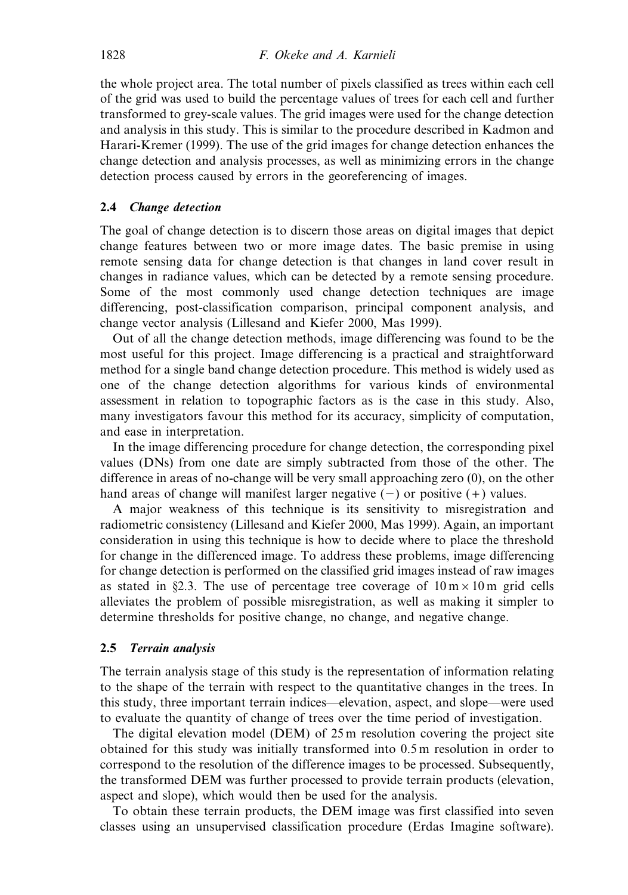the whole project area. The total number of pixels classified as trees within each cell of the grid was used to build the percentage values of trees for each cell and further transformed to grey-scale values. The grid images were used for the change detection and analysis in this study. This is similar to the procedure described in Kadmon and Harari-Kremer (1999). The use of the grid images for change detection enhances the change detection and analysis processes, as well as minimizing errors in the change detection process caused by errors in the georeferencing of images.

#### 2.4 Change detection

The goal of change detection is to discern those areas on digital images that depict change features between two or more image dates. The basic premise in using remote sensing data for change detection is that changes in land cover result in changes in radiance values, which can be detected by a remote sensing procedure. Some of the most commonly used change detection techniques are image differencing, post-classification comparison, principal component analysis, and change vector analysis (Lillesand and Kiefer 2000, Mas 1999).

Out of all the change detection methods, image differencing was found to be the most useful for this project. Image differencing is a practical and straightforward method for a single band change detection procedure. This method is widely used as one of the change detection algorithms for various kinds of environmental assessment in relation to topographic factors as is the case in this study. Also, many investigators favour this method for its accuracy, simplicity of computation, and ease in interpretation.

In the image differencing procedure for change detection, the corresponding pixel values (DNs) from one date are simply subtracted from those of the other. The difference in areas of no-change will be very small approaching zero (0), on the other hand areas of change will manifest larger negative  $(-)$  or positive  $(+)$  values.

A major weakness of this technique is its sensitivity to misregistration and radiometric consistency (Lillesand and Kiefer 2000, Mas 1999). Again, an important consideration in using this technique is how to decide where to place the threshold for change in the differenced image. To address these problems, image differencing for change detection is performed on the classified grid images instead of raw images as stated in §2.3. The use of percentage tree coverage of  $10 \text{ m} \times 10 \text{ m}$  grid cells alleviates the problem of possible misregistration, as well as making it simpler to determine thresholds for positive change, no change, and negative change.

#### 2.5 Terrain analysis

The terrain analysis stage of this study is the representation of information relating to the shape of the terrain with respect to the quantitative changes in the trees. In this study, three important terrain indices—elevation, aspect, and slope—were used to evaluate the quantity of change of trees over the time period of investigation.

The digital elevation model (DEM) of 25 m resolution covering the project site obtained for this study was initially transformed into 0.5 m resolution in order to correspond to the resolution of the difference images to be processed. Subsequently, the transformed DEM was further processed to provide terrain products (elevation, aspect and slope), which would then be used for the analysis.

To obtain these terrain products, the DEM image was first classified into seven classes using an unsupervised classification procedure (Erdas Imagine software).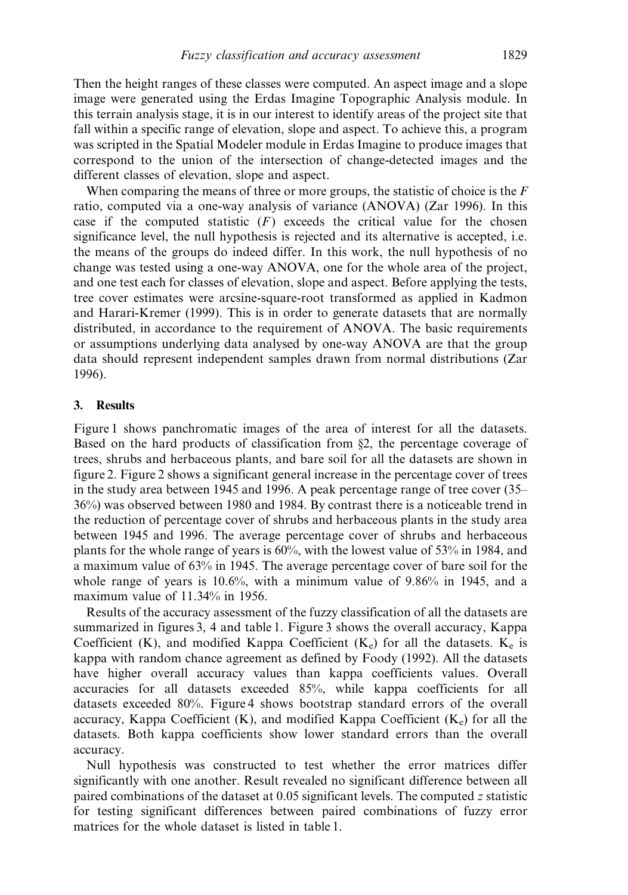Then the height ranges of these classes were computed. An aspect image and a slope image were generated using the Erdas Imagine Topographic Analysis module. In this terrain analysis stage, it is in our interest to identify areas of the project site that fall within a specific range of elevation, slope and aspect. To achieve this, a program was scripted in the Spatial Modeler module in Erdas Imagine to produce images that correspond to the union of the intersection of change-detected images and the different classes of elevation, slope and aspect.

When comparing the means of three or more groups, the statistic of choice is the  $F$ ratio, computed via a one-way analysis of variance (ANOVA) (Zar 1996). In this case if the computed statistic  $(F)$  exceeds the critical value for the chosen significance level, the null hypothesis is rejected and its alternative is accepted, i.e. the means of the groups do indeed differ. In this work, the null hypothesis of no change was tested using a one-way ANOVA, one for the whole area of the project, and one test each for classes of elevation, slope and aspect. Before applying the tests, tree cover estimates were arcsine-square-root transformed as applied in Kadmon and Harari-Kremer (1999). This is in order to generate datasets that are normally distributed, in accordance to the requirement of ANOVA. The basic requirements or assumptions underlying data analysed by one-way ANOVA are that the group data should represent independent samples drawn from normal distributions (Zar 1996).

#### 3. Results

Figure 1 shows panchromatic images of the area of interest for all the datasets. Based on the hard products of classification from §2, the percentage coverage of trees, shrubs and herbaceous plants, and bare soil for all the datasets are shown in figure 2. Figure 2 shows a significant general increase in the percentage cover of trees in the study area between 1945 and 1996. A peak percentage range of tree cover (35– 36%) was observed between 1980 and 1984. By contrast there is a noticeable trend in the reduction of percentage cover of shrubs and herbaceous plants in the study area between 1945 and 1996. The average percentage cover of shrubs and herbaceous plants for the whole range of years is 60%, with the lowest value of 53% in 1984, and a maximum value of 63% in 1945. The average percentage cover of bare soil for the whole range of years is  $10.6\%$ , with a minimum value of  $9.86\%$  in 1945, and a maximum value of 11.34% in 1956.

Results of the accuracy assessment of the fuzzy classification of all the datasets are summarized in figures 3, 4 and table 1. Figure 3 shows the overall accuracy, Kappa Coefficient (K), and modified Kappa Coefficient  $(K_e)$  for all the datasets.  $K_e$  is kappa with random chance agreement as defined by Foody (1992). All the datasets have higher overall accuracy values than kappa coefficients values. Overall accuracies for all datasets exceeded 85%, while kappa coefficients for all datasets exceeded 80%. Figure 4 shows bootstrap standard errors of the overall accuracy, Kappa Coefficient (K), and modified Kappa Coefficient  $(K_e)$  for all the datasets. Both kappa coefficients show lower standard errors than the overall accuracy.

Null hypothesis was constructed to test whether the error matrices differ significantly with one another. Result revealed no significant difference between all paired combinations of the dataset at 0.05 significant levels. The computed z statistic for testing significant differences between paired combinations of fuzzy error matrices for the whole dataset is listed in table 1.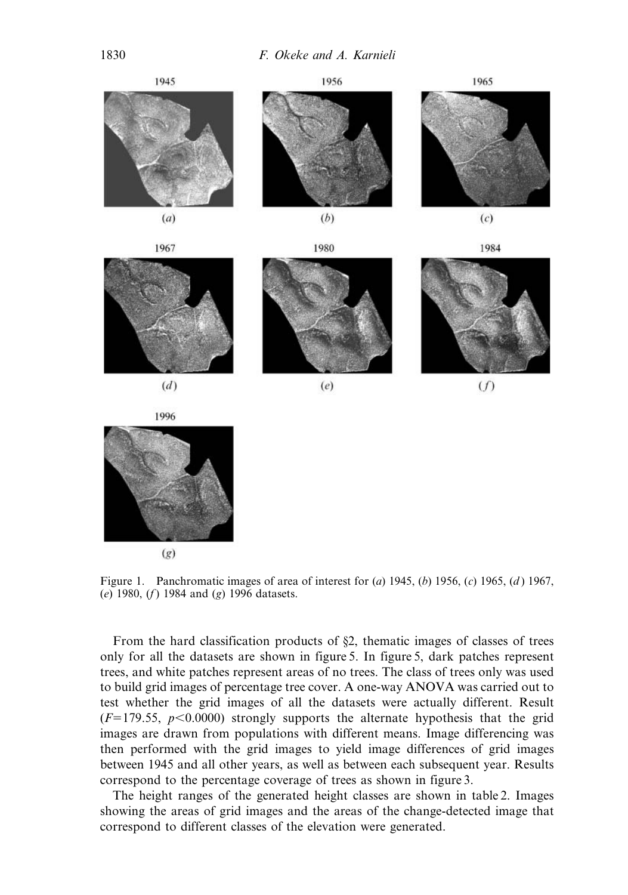



Figure 1. Panchromatic images of area of interest for  $(a)$  1945,  $(b)$  1956,  $(c)$  1965,  $(d)$  1967, (e) 1980, (f) 1984 and (g) 1996 datasets.

From the hard classification products of §2, thematic images of classes of trees only for all the datasets are shown in figure 5. In figure 5, dark patches represent trees, and white patches represent areas of no trees. The class of trees only was used to build grid images of percentage tree cover. A one-way ANOVA was carried out to test whether the grid images of all the datasets were actually different. Result  $(F=179.55, p<0.0000)$  strongly supports the alternate hypothesis that the grid images are drawn from populations with different means. Image differencing was then performed with the grid images to yield image differences of grid images between 1945 and all other years, as well as between each subsequent year. Results correspond to the percentage coverage of trees as shown in figure 3.

The height ranges of the generated height classes are shown in table 2. Images showing the areas of grid images and the areas of the change-detected image that correspond to different classes of the elevation were generated.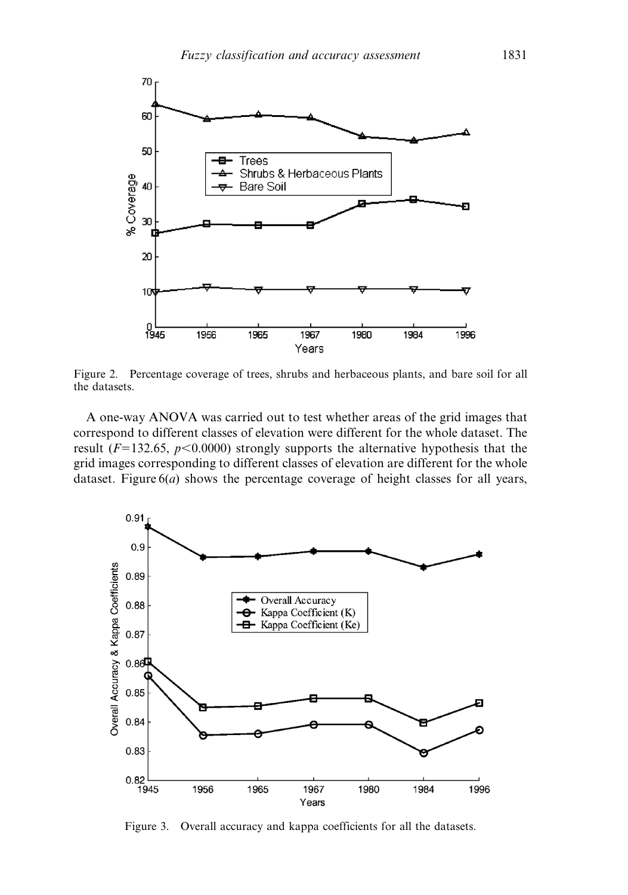

Figure 2. Percentage coverage of trees, shrubs and herbaceous plants, and bare soil for all the datasets.

A one-way ANOVA was carried out to test whether areas of the grid images that correspond to different classes of elevation were different for the whole dataset. The result ( $F=132.65$ ,  $p<0.0000$ ) strongly supports the alternative hypothesis that the grid images corresponding to different classes of elevation are different for the whole dataset. Figure  $6(a)$  shows the percentage coverage of height classes for all years,



Figure 3. Overall accuracy and kappa coefficients for all the datasets.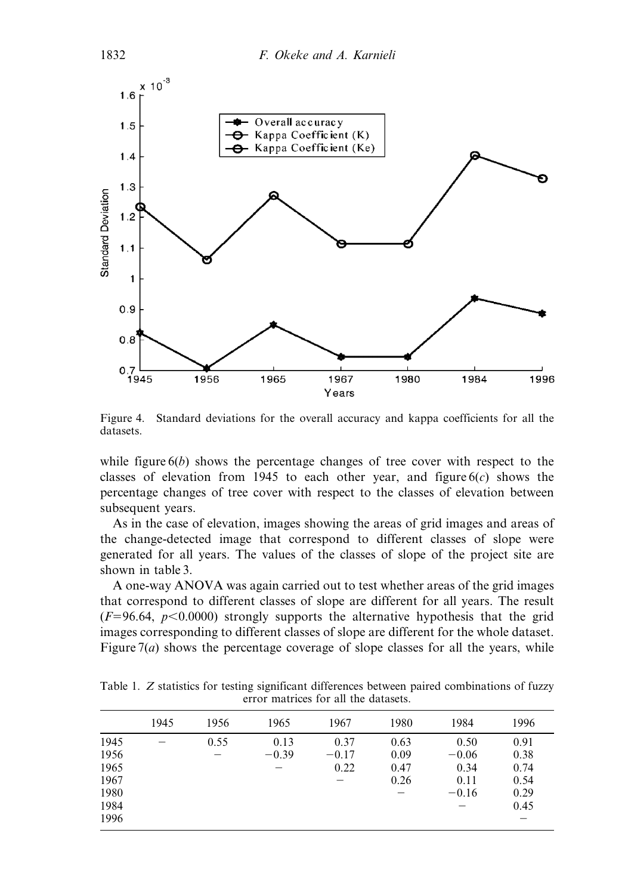

Figure 4. Standard deviations for the overall accuracy and kappa coefficients for all the datasets.

while figure  $6(b)$  shows the percentage changes of tree cover with respect to the classes of elevation from 1945 to each other year, and figure  $6(c)$  shows the percentage changes of tree cover with respect to the classes of elevation between subsequent years.

As in the case of elevation, images showing the areas of grid images and areas of the change-detected image that correspond to different classes of slope were generated for all years. The values of the classes of slope of the project site are shown in table 3.

A one-way ANOVA was again carried out to test whether areas of the grid images that correspond to different classes of slope are different for all years. The result  $(F=96.64, p<0.0000)$  strongly supports the alternative hypothesis that the grid images corresponding to different classes of slope are different for the whole dataset. Figure  $7(a)$  shows the percentage coverage of slope classes for all the years, while

|      | 1945 | 1956 | 1965    | 1967    | 1980 | 1984    | 1996 |
|------|------|------|---------|---------|------|---------|------|
| 1945 |      | 0.55 | 0.13    | 0.37    | 0.63 | 0.50    | 0.91 |
| 1956 |      |      | $-0.39$ | $-0.17$ | 0.09 | $-0.06$ | 0.38 |
| 1965 |      |      |         | 0.22    | 0.47 | 0.34    | 0.74 |
| 1967 |      |      |         |         | 0.26 | 0.11    | 0.54 |
| 1980 |      |      |         |         |      | $-0.16$ | 0.29 |
| 1984 |      |      |         |         |      |         | 0.45 |
| 1996 |      |      |         |         |      |         |      |

Table 1. Z statistics for testing significant differences between paired combinations of fuzzy error matrices for all the datasets.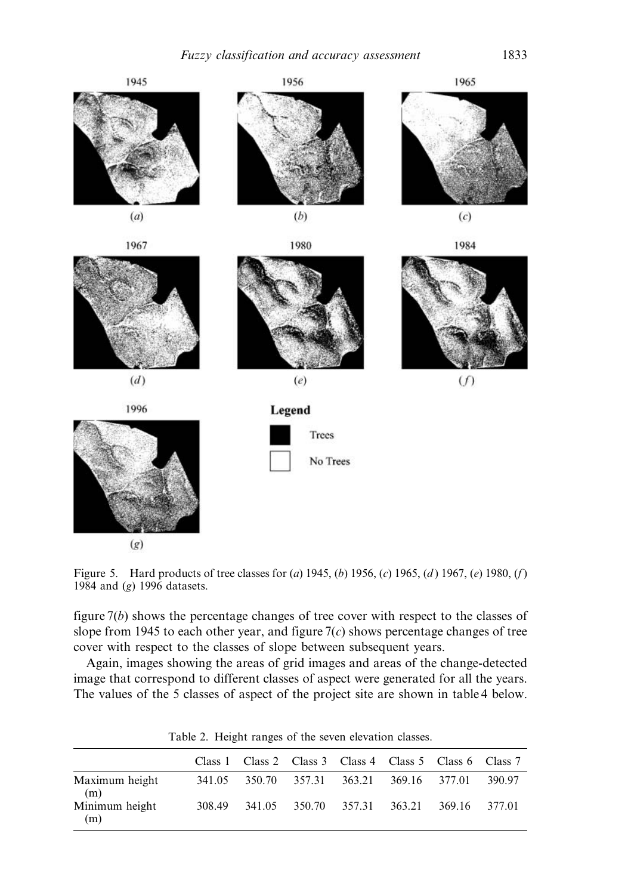

 $(g)$ 

Figure 5. Hard products of tree classes for (a)  $1945$ , (b)  $1956$ , (c)  $1965$ , (d)  $1967$ , (e)  $1980$ , (f) 1984 and (g) 1996 datasets.

figure  $7(b)$  shows the percentage changes of tree cover with respect to the classes of slope from 1945 to each other year, and figure  $7(c)$  shows percentage changes of tree cover with respect to the classes of slope between subsequent years.

Again, images showing the areas of grid images and areas of the change-detected image that correspond to different classes of aspect were generated for all the years. The values of the 5 classes of aspect of the project site are shown in table 4 below.

|                       |        | Class 1 Class 2 Class 3 Class 4 Class 5 Class 6 Class 7 |                             |               |        |
|-----------------------|--------|---------------------------------------------------------|-----------------------------|---------------|--------|
| Maximum height<br>(m) |        | 341.05 350.70 357.31 363.21 369.16 377.01               |                             |               | 390.97 |
| Minimum height<br>(m) | 308.49 |                                                         | 341.05 350.70 357.31 363.21 | 369.16 377.01 |        |

Table 2. Height ranges of the seven elevation classes.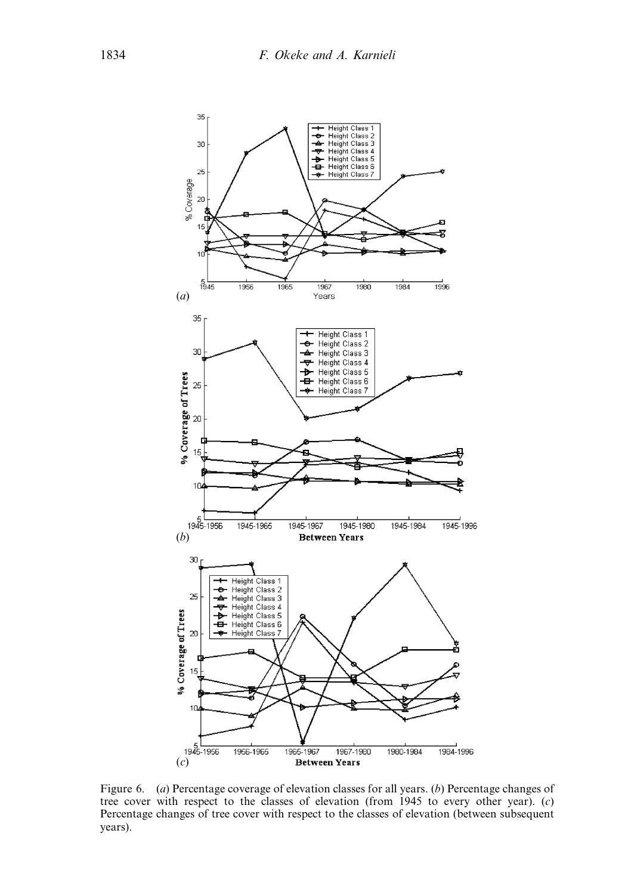

Figure 6. (a) Percentage coverage of elevation classes for all years. (b) Percentage changes of tree cover with respect to the classes of elevation (from 1945 to every other year). (c) Percentage changes of tree cover with respect to the classes of elevation (between subsequent years).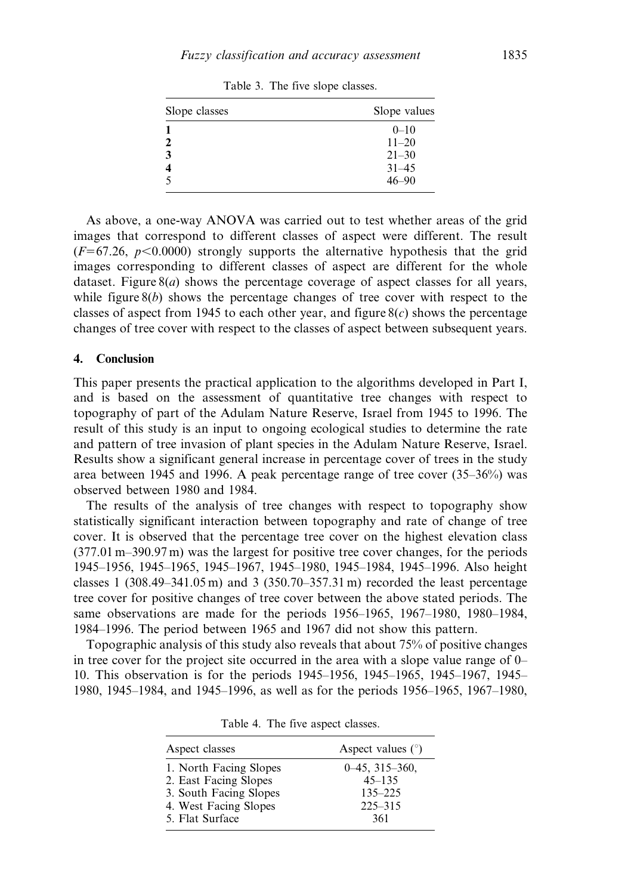| Slope classes | Slope values |  |  |  |
|---------------|--------------|--|--|--|
|               | $0 - 10$     |  |  |  |
| 2             | $11 - 20$    |  |  |  |
| 3             | $21 - 30$    |  |  |  |
| 4             | $31 - 45$    |  |  |  |
|               | $46 - 90$    |  |  |  |

Table 3. The five slope classes.

As above, a one-way ANOVA was carried out to test whether areas of the grid images that correspond to different classes of aspect were different. The result  $(F=67.26, p<0.0000)$  strongly supports the alternative hypothesis that the grid images corresponding to different classes of aspect are different for the whole dataset. Figure  $8(a)$  shows the percentage coverage of aspect classes for all years, while figure  $8(b)$  shows the percentage changes of tree cover with respect to the classes of aspect from 1945 to each other year, and figure  $8(c)$  shows the percentage changes of tree cover with respect to the classes of aspect between subsequent years.

#### 4. Conclusion

This paper presents the practical application to the algorithms developed in Part I, and is based on the assessment of quantitative tree changes with respect to topography of part of the Adulam Nature Reserve, Israel from 1945 to 1996. The result of this study is an input to ongoing ecological studies to determine the rate and pattern of tree invasion of plant species in the Adulam Nature Reserve, Israel. Results show a significant general increase in percentage cover of trees in the study area between 1945 and 1996. A peak percentage range of tree cover (35–36%) was observed between 1980 and 1984.

The results of the analysis of tree changes with respect to topography show statistically significant interaction between topography and rate of change of tree cover. It is observed that the percentage tree cover on the highest elevation class (377.01 m–390.97 m) was the largest for positive tree cover changes, for the periods 1945–1956, 1945–1965, 1945–1967, 1945–1980, 1945–1984, 1945–1996. Also height classes 1 (308.49–341.05 m) and 3 (350.70–357.31 m) recorded the least percentage tree cover for positive changes of tree cover between the above stated periods. The same observations are made for the periods 1956–1965, 1967–1980, 1980–1984, 1984–1996. The period between 1965 and 1967 did not show this pattern.

Topographic analysis of this study also reveals that about 75% of positive changes in tree cover for the project site occurred in the area with a slope value range of 0– 10. This observation is for the periods 1945–1956, 1945–1965, 1945–1967, 1945– 1980, 1945–1984, and 1945–1996, as well as for the periods 1956–1965, 1967–1980,

| Aspect classes         | Aspect values $(°)$ |
|------------------------|---------------------|
| 1. North Facing Slopes | $0-45, 315-360,$    |
| 2. East Facing Slopes  | $45 - 135$          |
| 3. South Facing Slopes | $135 - 225$         |
| 4. West Facing Slopes  | $225 - 315$         |
| 5. Flat Surface        | 361                 |

Table 4. The five aspect classes.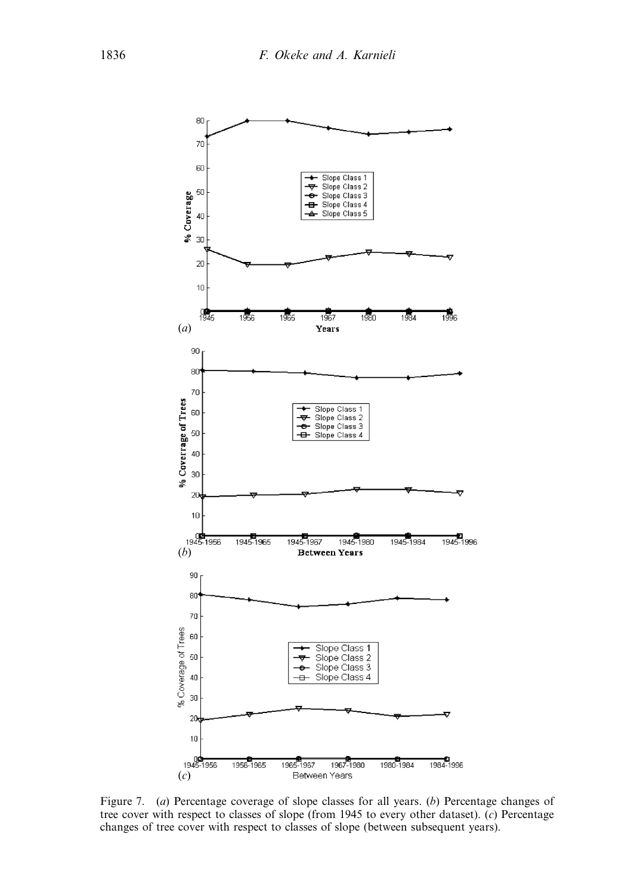

Figure 7. (a) Percentage coverage of slope classes for all years. (b) Percentage changes of tree cover with respect to classes of slope (from 1945 to every other dataset). (c) Percentage changes of tree cover with respect to classes of slope (between subsequent years).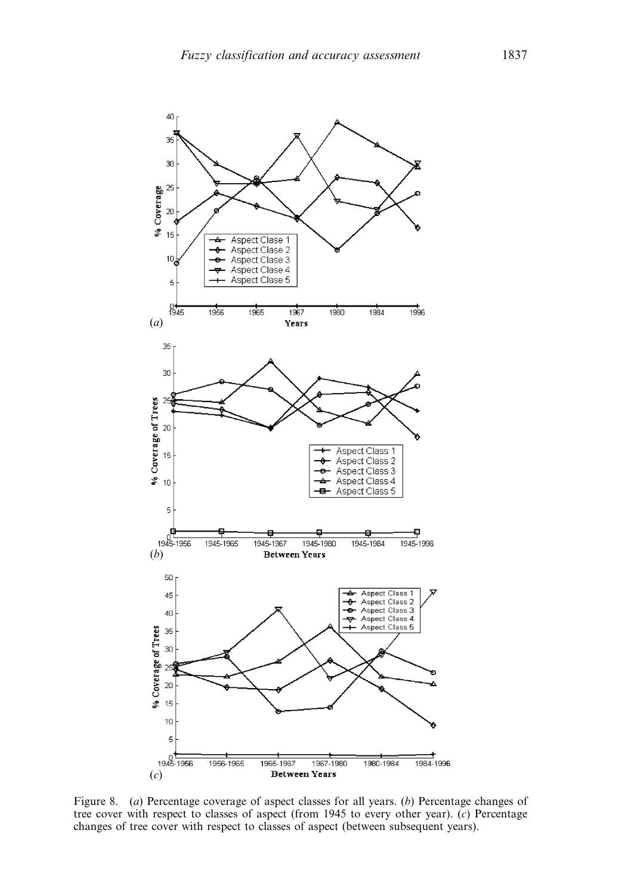

Figure 8. (a) Percentage coverage of aspect classes for all years. (b) Percentage changes of tree cover with respect to classes of aspect (from 1945 to every other year). (c) Percentage changes of tree cover with respect to classes of aspect (between subsequent years).